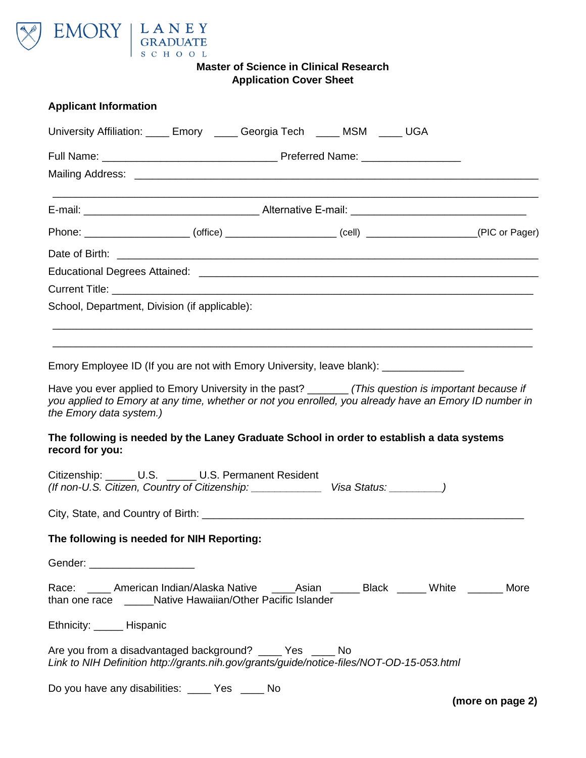

| <b>Applicant Information</b>                                                                                                                                                                                                                                                                                                                                                                                                                                                                                                                                                                |  |  |  |  |  |  |
|---------------------------------------------------------------------------------------------------------------------------------------------------------------------------------------------------------------------------------------------------------------------------------------------------------------------------------------------------------------------------------------------------------------------------------------------------------------------------------------------------------------------------------------------------------------------------------------------|--|--|--|--|--|--|
| University Affiliation: ____ Emory ____ Georgia Tech ____ MSM ____ UGA                                                                                                                                                                                                                                                                                                                                                                                                                                                                                                                      |  |  |  |  |  |  |
|                                                                                                                                                                                                                                                                                                                                                                                                                                                                                                                                                                                             |  |  |  |  |  |  |
|                                                                                                                                                                                                                                                                                                                                                                                                                                                                                                                                                                                             |  |  |  |  |  |  |
|                                                                                                                                                                                                                                                                                                                                                                                                                                                                                                                                                                                             |  |  |  |  |  |  |
| Phone: ______________________(office) _____________________(cell) ___________________(PIC or Pager)                                                                                                                                                                                                                                                                                                                                                                                                                                                                                         |  |  |  |  |  |  |
|                                                                                                                                                                                                                                                                                                                                                                                                                                                                                                                                                                                             |  |  |  |  |  |  |
|                                                                                                                                                                                                                                                                                                                                                                                                                                                                                                                                                                                             |  |  |  |  |  |  |
|                                                                                                                                                                                                                                                                                                                                                                                                                                                                                                                                                                                             |  |  |  |  |  |  |
| School, Department, Division (if applicable):                                                                                                                                                                                                                                                                                                                                                                                                                                                                                                                                               |  |  |  |  |  |  |
|                                                                                                                                                                                                                                                                                                                                                                                                                                                                                                                                                                                             |  |  |  |  |  |  |
| Emory Employee ID (If you are not with Emory University, leave blank): ______________<br>Have you ever applied to Emory University in the past? ________ (This question is important because if<br>you applied to Emory at any time, whether or not you enrolled, you already have an Emory ID number in<br>the Emory data system.)<br>The following is needed by the Laney Graduate School in order to establish a data systems<br>record for you:<br>Citizenship: U.S. _____ U.S. Permanent Resident<br>(If non-U.S. Citizen, Country of Citizenship: Visa Status: ______________________ |  |  |  |  |  |  |
| The following is needed for NIH Reporting:                                                                                                                                                                                                                                                                                                                                                                                                                                                                                                                                                  |  |  |  |  |  |  |
| Gender: _____________________                                                                                                                                                                                                                                                                                                                                                                                                                                                                                                                                                               |  |  |  |  |  |  |
| Race: _____ American Indian/Alaska Native _____Asian ______ Black ______ White _______ More<br>than one race ______Native Hawaiian/Other Pacific Islander                                                                                                                                                                                                                                                                                                                                                                                                                                   |  |  |  |  |  |  |
| Ethnicity: ______ Hispanic                                                                                                                                                                                                                                                                                                                                                                                                                                                                                                                                                                  |  |  |  |  |  |  |
| Are you from a disadvantaged background? _____ Yes _____ No<br>Link to NIH Definition http://grants.nih.gov/grants/guide/notice-files/NOT-OD-15-053.html                                                                                                                                                                                                                                                                                                                                                                                                                                    |  |  |  |  |  |  |
| Do you have any disabilities: ____ Yes ____ No                                                                                                                                                                                                                                                                                                                                                                                                                                                                                                                                              |  |  |  |  |  |  |

**(more on page 2)**